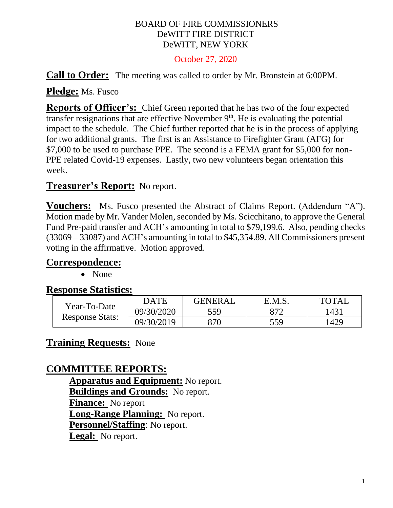### BOARD OF FIRE COMMISSIONERS DeWITT FIRE DISTRICT DeWITT, NEW YORK

#### October 27, 2020

**Call to Order:** The meeting was called to order by Mr. Bronstein at 6:00PM.

**Pledge:** Ms. Fusco

**Reports of Officer's:** Chief Green reported that he has two of the four expected transfer resignations that are effective November  $9<sup>th</sup>$ . He is evaluating the potential impact to the schedule. The Chief further reported that he is in the process of applying for two additional grants. The first is an Assistance to Firefighter Grant (AFG) for \$7,000 to be used to purchase PPE. The second is a FEMA grant for \$5,000 for non-PPE related Covid-19 expenses. Lastly, two new volunteers began orientation this week.

## **Treasurer's Report:** No report.

**Vouchers:** Ms. Fusco presented the Abstract of Claims Report. (Addendum "A"). Motion made by Mr. Vander Molen, seconded by Ms. Scicchitano, to approve the General Fund Pre-paid transfer and ACH's amounting in total to \$79,199.6. Also, pending checks (33069 – 33087) and ACH's amounting in total to \$45,354.89. All Commissioners present voting in the affirmative. Motion approved.

### **Correspondence:**

• None

### **Response Statistics:**

| Year-To-Date<br><b>Response Stats:</b> | <b>DATE</b> | <b>GENERAL</b> | E.M.S. | <b>TOTAL</b> |
|----------------------------------------|-------------|----------------|--------|--------------|
|                                        | 09/30/2020  | 559            | 872    | 1431         |
|                                        | 09/30/2019  | 370            | 559    | 1429         |

## **Training Requests:** None

## **COMMITTEE REPORTS:**

**Apparatus and Equipment:** No report. **Buildings and Grounds:** No report. **Finance:** No report **Long-Range Planning:** No report. **Personnel/Staffing**: No report. **Legal:** No report.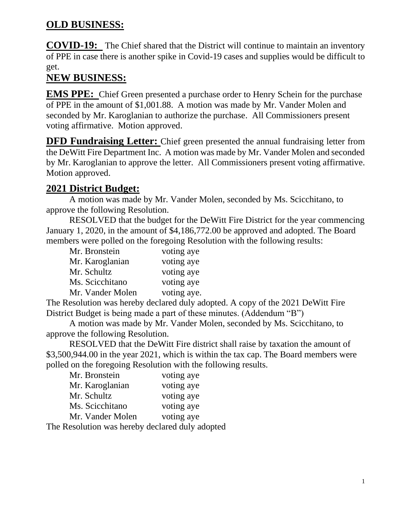# **OLD BUSINESS:**

**COVID-19:** The Chief shared that the District will continue to maintain an inventory of PPE in case there is another spike in Covid-19 cases and supplies would be difficult to get.

# **NEW BUSINESS:**

**EMS PPE:** Chief Green presented a purchase order to Henry Schein for the purchase of PPE in the amount of \$1,001.88. A motion was made by Mr. Vander Molen and seconded by Mr. Karoglanian to authorize the purchase. All Commissioners present voting affirmative. Motion approved.

**DFD Fundraising Letter:** Chief green presented the annual fundraising letter from the DeWitt Fire Department Inc. A motion was made by Mr. Vander Molen and seconded by Mr. Karoglanian to approve the letter. All Commissioners present voting affirmative. Motion approved.

# **2021 District Budget:**

A motion was made by Mr. Vander Molen, seconded by Ms. Scicchitano, to approve the following Resolution.

RESOLVED that the budget for the DeWitt Fire District for the year commencing January 1, 2020, in the amount of \$4,186,772.00 be approved and adopted. The Board members were polled on the foregoing Resolution with the following results:

| Mr. Bronstein    | voting aye  |
|------------------|-------------|
| Mr. Karoglanian  | voting aye  |
| Mr. Schultz      | voting aye  |
| Ms. Scicchitano  | voting aye  |
| Mr. Vander Molen | voting aye. |

The Resolution was hereby declared duly adopted. A copy of the 2021 DeWitt Fire District Budget is being made a part of these minutes. (Addendum "B")

A motion was made by Mr. Vander Molen, seconded by Ms. Scicchitano, to approve the following Resolution.

RESOLVED that the DeWitt Fire district shall raise by taxation the amount of \$3,500,944.00 in the year 2021, which is within the tax cap. The Board members were polled on the foregoing Resolution with the following results.

| Mr. Bronstein                                                                                                                                                                                                                                                                                    | voting aye                                      |
|--------------------------------------------------------------------------------------------------------------------------------------------------------------------------------------------------------------------------------------------------------------------------------------------------|-------------------------------------------------|
| Mr. Karoglanian                                                                                                                                                                                                                                                                                  | voting aye                                      |
| Mr. Schultz                                                                                                                                                                                                                                                                                      | voting aye                                      |
| Ms. Scicchitano                                                                                                                                                                                                                                                                                  | voting aye                                      |
| Mr. Vander Molen                                                                                                                                                                                                                                                                                 | voting aye                                      |
| $\mathbf{r}$ and $\mathbf{r}$ and $\mathbf{r}$ and $\mathbf{r}$ and $\mathbf{r}$ and $\mathbf{r}$ and $\mathbf{r}$ and $\mathbf{r}$ and $\mathbf{r}$ and $\mathbf{r}$ and $\mathbf{r}$ and $\mathbf{r}$ and $\mathbf{r}$ and $\mathbf{r}$ and $\mathbf{r}$ and $\mathbf{r}$ and $\mathbf{r}$ and | $\mathbf 1$ $\mathbf 1$ $\mathbf 1$ $\mathbf 1$ |

The Resolution was hereby declared duly adopted